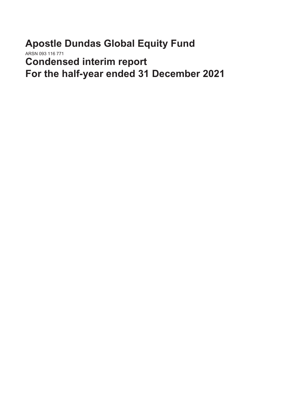**Apostle Dundas Global Equity Fund** ARSN 093 116 771 **Condensed interim report For the half-year ended 31 December 2021**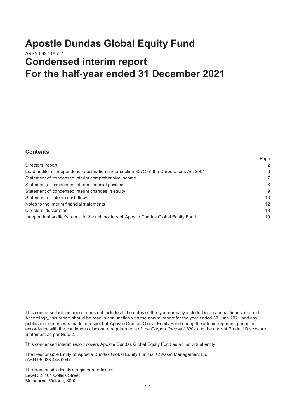## **Apostle Dundas Global Equity Fund** ARSN 093 116 771 **Condensed interim report For the half-year ended 31 December 2021**

## **Contents**

| Directors' report                                                                       | $\overline{2}$ |
|-----------------------------------------------------------------------------------------|----------------|
| Lead auditor's independence declaration under section 307C of the Corporations Act 2001 | 6              |
| Statement of condensed interim comprehensive income                                     | 7              |
| Statement of condensed interim financial position                                       | 8              |
| Statement of condensed interim changes in equity                                        | 9              |
| Statement of interim cash flows                                                         | 10             |
| Notes to the interim financial statements                                               | 12             |
| Directors' declaration                                                                  | 18             |
| Independent auditor's report to the unit holders of Apostle Dundas Global Equity Fund   | 19             |
|                                                                                         |                |

Page

This condensed interim report does not include all the notes of the type normally included in an annual financial report. Accordingly, this report should be read in conjunction with the annual report for the year ended 30 June 2021 and any public announcements made in respect of Apostle Dundas Global Equity Fund during the interim reporting period in accordance with the continuous disclosure requirements of the *Corporations Act 2001* and the current Product Disclosure Statement as per Note 2.

This condensed interim report covers Apostle Dundas Global Equity Fund as an individual entity.

The Responsible Entity of Apostle Dundas Global Equity Fund is K2 Asset Management Ltd (ABN 95 085 445 094).

The Responsible Entity's registered office is: Level 32, 101 Collins Street Melbourne, Victoria, 3000.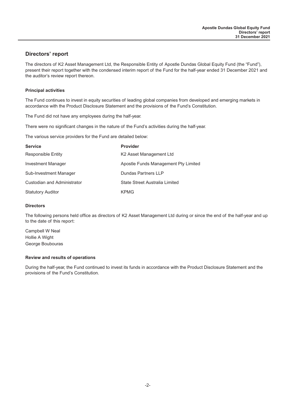## **Directors' report**

The directors of K2 Asset Management Ltd, the Responsible Entity of Apostle Dundas Global Equity Fund (the "Fund"), present their report together with the condensed interim report of the Fund for the half-year ended 31 December 2021 and the auditor's review report thereon.

#### **Principal activities**

The Fund continues to invest in equity securities of leading global companies from developed and emerging markets in accordance with the Product Disclosure Statement and the provisions of the Fund's Constitution.

The Fund did not have any employees during the half-year.

There were no significant changes in the nature of the Fund's activities during the half-year.

The various service providers for the Fund are detailed below:

| <b>Service</b>              | <b>Provider</b>                      |
|-----------------------------|--------------------------------------|
| <b>Responsible Entity</b>   | K <sub>2</sub> Asset Management Ltd  |
| <b>Investment Manager</b>   | Apostle Funds Management Pty Limited |
| Sub-Investment Manager      | Dundas Partners LLP                  |
| Custodian and Administrator | State Street Australia Limited       |
| <b>Statutory Auditor</b>    | <b>KPMG</b>                          |

#### **Directors**

The following persons held office as directors of K2 Asset Management Ltd during or since the end of the half-year and up to the date of this report:

Campbell W Neal Hollie A Wight George Boubouras

#### **Review and results of operations**

During the half-year, the Fund continued to invest its funds in accordance with the Product Disclosure Statement and the provisions of the Fund's Constitution.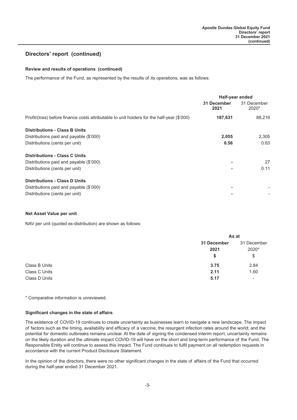## **Directors' report (continued)**

#### **Review and results of operations (continued)**

The performance of the Fund, as represented by the results of its operations, was as follows:

|                                                                                            | Half-year ended<br>31 December<br>2021 | 31 December<br>$2020*$ |
|--------------------------------------------------------------------------------------------|----------------------------------------|------------------------|
| Profit/(loss) before finance costs attributable to unit holders for the half-year (\$'000) | 187,631                                | 88,216                 |
| <b>Distributions - Class B Units</b>                                                       |                                        |                        |
| Distributions paid and payable (\$'000)                                                    | 2,055                                  | 2,305                  |
| Distributions (cents per unit)                                                             | 0.56                                   | 0.63                   |
| <b>Distributions - Class C Units</b>                                                       |                                        |                        |
| Distributions paid and payable (\$'000)                                                    |                                        | 27                     |
| Distributions (cents per unit)                                                             |                                        | 0.11                   |
| <b>Distributions - Class D Units</b>                                                       |                                        |                        |
| Distributions paid and payable (\$'000)                                                    |                                        |                        |
| Distributions (cents per unit)                                                             |                                        |                        |

#### **Net Asset Value per unit**

NAV per unit (quoted ex-distribution) are shown as follows:

|               | As at                     |                            |
|---------------|---------------------------|----------------------------|
|               | 31 December<br>2021<br>\$ | 31 December<br>2020*<br>\$ |
| Class B Units | 3.75                      | 2.84                       |
| Class C Units | 2.11                      | 1.60                       |
| Class D Units | 5.17                      | $\overline{\phantom{0}}$   |

\* Comparative information is unreviewed.

#### **Significant changes in the state of affairs**

The existence of COVID-19 continues to create uncertainty as businesses learn to navigate a new landscape. The impact of factors such as the timing, availability and efficacy of a vaccine; the resurgent infection rates around the world; and the potential for domestic outbreaks remains unclear. At the date of signing the condensed interim report, uncertainty remains on the likely duration and the ultimate impact COVID-19 will have on the short and long-term performance of the Fund. The Responsible Entity will continue to assess this impact. The Fund continues to fulfil payment on all redemption requests in accordance with the current Product Disclosure Statement.

In the opinion of the directors, there were no other significant changes in the state of affairs of the Fund that occurred during the half-year ended 31 December 2021.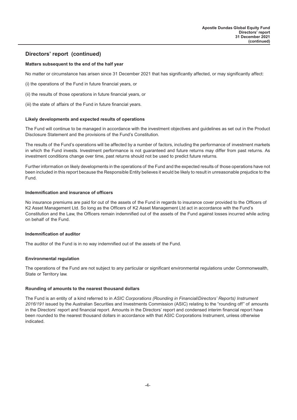## **Directors' report (continued)**

#### **Matters subsequent to the end of the half year**

No matter or circumstance has arisen since 31 December 2021 that has significantly affected, or may significantly affect:

- (i) the operations of the Fund in future financial years, or
- (ii) the results of those operations in future financial years, or

(iii) the state of affairs of the Fund in future financial years.

#### **Likely developments and expected results of operations**

The Fund will continue to be managed in accordance with the investment objectives and guidelines as set out in the Product Disclosure Statement and the provisions of the Fund's Constitution.

The results of the Fund's operations will be affected by a number of factors, including the performance of investment markets in which the Fund invests. Investment performance is not guaranteed and future returns may differ from past returns. As investment conditions change over time, past returns should not be used to predict future returns.

Further information on likely developments in the operations of the Fund and the expected results of those operations have not been included in this report because the Responsible Entity believes it would be likely to result in unreasonable prejudice to the Fund.

#### **Indemnification and insurance of officers**

No insurance premiums are paid for out of the assets of the Fund in regards to insurance cover provided to the Officers of K2 Asset Management Ltd. So long as the Officers of K2 Asset Management Ltd act in accordance with the Fund's Constitution and the Law, the Officers remain indemnified out of the assets of the Fund against losses incurred while acting on behalf of the Fund.

#### **Indemnification of auditor**

The auditor of the Fund is in no way indemnified out of the assets of the Fund.

#### **Environmental regulation**

The operations of the Fund are not subject to any particular or significant environmental regulations under Commonwealth, State or Territory law.

#### **Rounding of amounts to the nearest thousand dollars**

The Fund is an entity of a kind referred to in *ASIC Corporations (Rounding in Financial/Directors' Reports) Instrument 2016/191* issued by the Australian Securities and Investments Commission (ASIC) relating to the "rounding off" of amounts in the Directors' report and financial report. Amounts in the Directors' report and condensed interim financial report have been rounded to the nearest thousand dollars in accordance with that ASIC Corporations Instrument, unless otherwise indicated.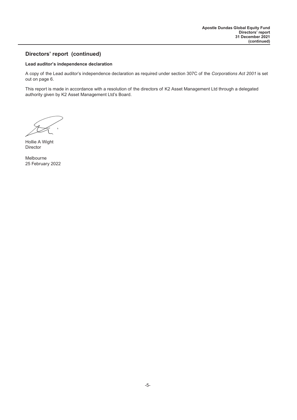## **Directors' report (continued)**

#### **Lead auditor's independence declaration**

A copy of the Lead auditor's independence declaration as required under section 307C of the *Corporations Act 2001* is set out on page 6.

This report is made in accordance with a resolution of the directors of K2 Asset Management Ltd through a delegated authority given by K2 Asset Management Ltd's Board.

Hollie A Wight Director

Melbourne 25 February 2022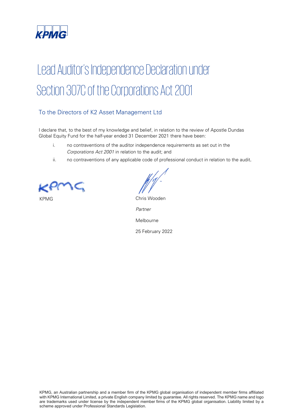

# Lead Auditor's Independence Declaration under Section 307C of the Corporations Act 2001

## To the Directors of K2 Asset Management Ltd

I declare that, to the best of my knowledge and belief, in relation to the review of Apostle Dundas Global Equity Fund for the half-year ended 31 December 2021 there have been:

- i. no contraventions of the auditor independence requirements as set out in the Corporations Act 2001 in relation to the audit; and
- ii. no contraventions of any applicable code of professional conduct in relation to the audit.

KPMG **Chris Wooden** 

*Partner*  Melbourne

25 February 2022

 with KPMG International Limited, a private English company limited by guarantee. All rights reserved. The KPMG name and logo KPMG, an Australian partnership and a member firm of the KPMG global organisation of independent member firms affiliated are trademarks used under license by the independent member firms of the KPMG global organisation. Liability limited by a scheme approved under Professional Standards Legislation.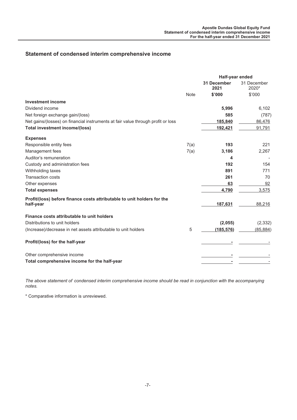## **Statement of condensed interim comprehensive income**

|                                                                                  | Half-year ended |                            |                      |
|----------------------------------------------------------------------------------|-----------------|----------------------------|----------------------|
|                                                                                  |                 | <b>31 December</b><br>2021 | 31 December<br>2020* |
|                                                                                  | <b>Note</b>     | \$'000                     | \$'000               |
| <b>Investment income</b>                                                         |                 |                            |                      |
| Dividend income                                                                  |                 | 5,996                      | 6,102                |
| Net foreign exchange gain/(loss)                                                 |                 | 585                        | (787)                |
| Net gains/(losses) on financial instruments at fair value through profit or loss |                 | 185,840                    | 86,476               |
| <b>Total investment income/(loss)</b>                                            |                 | 192,421                    | 91,791               |
| <b>Expenses</b>                                                                  |                 |                            |                      |
| Responsible entity fees                                                          | 7(a)            | 193                        | 221                  |
| Management fees                                                                  | 7(a)            | 3,186                      | 2,267                |
| Auditor's remuneration                                                           |                 | 4                          |                      |
| Custody and administration fees                                                  |                 | 192                        | 154                  |
| Withholding taxes                                                                |                 | 891                        | 771                  |
| <b>Transaction costs</b>                                                         |                 | 261                        | 70                   |
| Other expenses                                                                   |                 | 63                         | 92                   |
| <b>Total expenses</b>                                                            |                 | 4,790                      | 3,575                |
| Profit/(loss) before finance costs attributable to unit holders for the          |                 |                            |                      |
| half-year                                                                        |                 | 187,631                    | 88,216               |
| Finance costs attributable to unit holders                                       |                 |                            |                      |
| Distributions to unit holders                                                    |                 | (2,055)                    | (2, 332)             |
| (Increase)/decrease in net assets attributable to unit holders                   | 5               | (185, 576)                 | (85, 884)            |
| Profit/(loss) for the half-year                                                  |                 |                            |                      |
| Other comprehensive income                                                       |                 |                            |                      |
| Total comprehensive income for the half-year                                     |                 |                            |                      |

*The above statement of condensed interim comprehensive income should be read in conjunction with the accompanying notes.*

\* Comparative information is unreviewed.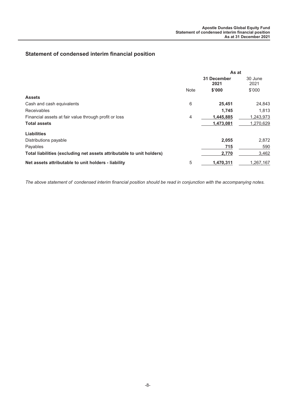## **Statement of condensed interim financial position**

|                                                                       | As at       |                     |                 |
|-----------------------------------------------------------------------|-------------|---------------------|-----------------|
|                                                                       |             | 31 December<br>2021 | 30 June<br>2021 |
|                                                                       | <b>Note</b> | \$'000              | \$'000          |
| <b>Assets</b>                                                         |             |                     |                 |
| Cash and cash equivalents                                             | 6           | 25,451              | 24,843          |
| <b>Receivables</b>                                                    |             | 1,745               | 1.813           |
| Financial assets at fair value through profit or loss                 | 4           | 1,445,885           | 1,243,973       |
| <b>Total assets</b>                                                   |             | 1,473,081           | 1,270,629       |
| <b>Liabilities</b>                                                    |             |                     |                 |
| Distributions payable                                                 |             | 2,055               | 2,872           |
| Payables                                                              |             | 715                 | 590             |
| Total liabilities (excluding net assets attributable to unit holders) |             | 2,770               | 3,462           |
| Net assets attributable to unit holders - liability                   | 5           | 1.470.311           | 1.267.167       |

*The above statement of condensed interim financial position should be read in conjunction with the accompanying notes.*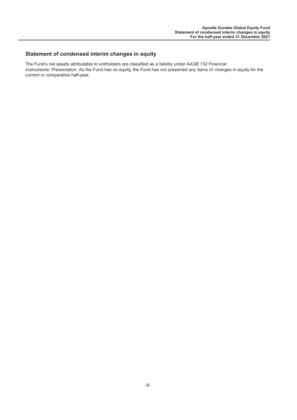## **Statement of condensed interim changes in equity**

The Fund's net assets attributable to unitholders are classified as a liability under *AASB 132 Financial Instruments: Presentation*. As the Fund has no equity, the Fund has not presented any items of changes in equity for the current or comparative half-year.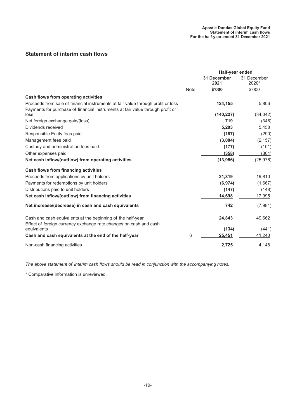## **Statement of interim cash flows**

|                                                                                                                                                                    |             | Half-year ended            |                      |
|--------------------------------------------------------------------------------------------------------------------------------------------------------------------|-------------|----------------------------|----------------------|
|                                                                                                                                                                    |             | <b>31 December</b><br>2021 | 31 December<br>2020* |
|                                                                                                                                                                    | <b>Note</b> | \$'000                     | \$'000               |
| <b>Cash flows from operating activities</b>                                                                                                                        |             |                            |                      |
| Proceeds from sale of financial instruments at fair value through profit or loss<br>Payments for purchase of financial instruments at fair value through profit or |             | 124,155                    | 5,806                |
| loss                                                                                                                                                               |             | (140, 227)                 | (34, 042)            |
| Net foreign exchange gain/(loss)                                                                                                                                   |             | 719                        | (346)                |
| Dividends received                                                                                                                                                 |             | 5,203                      | 5,458                |
| Responsible Entity fees paid                                                                                                                                       |             | (187)                      | (290)                |
| Management fees paid                                                                                                                                               |             | (3,084)                    | (2, 157)             |
| Custody and administration fees paid                                                                                                                               |             | (177)                      | (101)                |
| Other expenses paid                                                                                                                                                |             | (358)                      | (304)                |
| Net cash inflow/(outflow) from operating activities                                                                                                                |             | (13, 956)                  | (25, 976)            |
| <b>Cash flows from financing activities</b>                                                                                                                        |             |                            |                      |
| Proceeds from applications by unit holders                                                                                                                         |             | 21,819                     | 19,810               |
| Payments for redemptions by unit holders                                                                                                                           |             | (6, 974)                   | (1,667)              |
| Distributions paid to unit holders                                                                                                                                 |             | (147)                      | (148)                |
| Net cash inflow/(outflow) from financing activities                                                                                                                |             | 14,698                     | 17,995               |
| Net increase/(decrease) in cash and cash equivalents                                                                                                               |             | 742                        | (7,981)              |
| Cash and cash equivalents at the beginning of the half-year                                                                                                        |             | 24,843                     | 49,662               |
| Effect of foreign currency exchange rate changes on cash and cash<br>equivalents                                                                                   |             | (134)                      | (441)                |
| Cash and cash equivalents at the end of the half-year                                                                                                              | 6           | 25,451                     | 41,240               |
| Non-cash financing activities                                                                                                                                      |             | 2,725                      | 4,148                |

*The above statement of interim cash flows should be read in conjunction with the accompanying notes.*

\* Comparative information is unreviewed.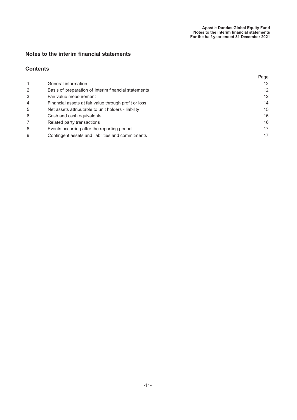## **Notes to the interim financial statements**

## **Contents**

|                |                                                       | Page              |
|----------------|-------------------------------------------------------|-------------------|
| 1              | General information                                   | $12 \overline{ }$ |
| $\overline{2}$ | Basis of preparation of interim financial statements  | 12                |
| 3              | Fair value measurement                                | $12 \overline{ }$ |
| $\overline{4}$ | Financial assets at fair value through profit or loss | 14                |
| 5              | Net assets attributable to unit holders - liability   | 15                |
| 6              | Cash and cash equivalents                             | 16                |
| 7              | Related party transactions                            | 16                |
| 8              | Events occurring after the reporting period           | 17                |
| 9              | Contingent assets and liabilities and commitments     | 17                |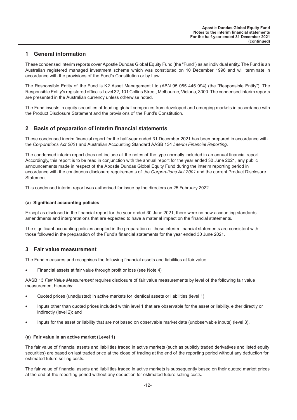## **1 General information**

These condensed interim reports cover Apostle Dundas Global Equity Fund (the "Fund") as an individual entity. The Fund is an Australian registered managed investment scheme which was constituted on 10 December 1996 and will terminate in accordance with the provisions of the Fund's Constitution or by Law.

The Responsible Entity of the Fund is K2 Asset Management Ltd (ABN 95 085 445 094) (the "Responsible Entity"). The Responsible Entity's registered office is Level 32, 101 Collins Street, Melbourne, Victoria, 3000. The condensed interim reports are presented in the Australian currency unless otherwise noted.

The Fund invests in equity securities of leading global companies from developed and emerging markets in accordance with the Product Disclosure Statement and the provisions of the Fund's Constitution.

## **2 Basis of preparation of interim financial statements**

These condensed inerim financial report for the half-year ended 31 December 2021 has been prepared in accordance with the *Corporations Act 2001* and Australian Accounting Standard AASB 134 *Interim Financial Reporting*.

The condensed interim report does not include all the notes of the type normally included in an annual financial report. Accordingly, this report is to be read in conjunction with the annual report for the year ended 30 June 2021, any public announcements made in respect of the Apostle Dundas Global Equity Fund during the interim reporting period in accordance with the continuous disclosure requirements of the *Corporations Act 2001* and the current Product Disclosure **Statement** 

This condensed interim report was authorised for issue by the directors on 25 February 2022.

#### **(a) Significant accounting policies**

Except as disclosed in the financial report for the year ended 30 June 2021, there were no new accounting standards, amendments and interpretations that are expected to have a material impact on the financial statements.

The significant accounting policies adopted in the preparation of these interim financial statements are consistent with those followed in the preparation of the Fund's financial statements for the year ended 30 June 2021.

## **3 Fair value measurement**

The Fund measures and recognises the following financial assets and liabilities at fair value.

• Financial assets at fair value through profit or loss (see Note 4)

AASB 13 *Fair Value Measurement* requires disclosure of fair value measurements by level of the following fair value measurement hierarchy:

- Quoted prices (unadjusted) in active markets for identical assets or liabilities (level 1);
- Inputs other than quoted prices included within level 1 that are observable for the asset or liability, either directly or indirectly (level 2); and
- Inputs for the asset or liability that are not based on observable market data (unobservable inputs) (level 3).

#### **(a) Fair value in an active market (Level 1)**

The fair value of financial assets and liabilities traded in active markets (such as publicly traded derivatives and listed equity securities) are based on last traded price at the close of trading at the end of the reporting period without any deduction for estimated future selling costs.

The fair value of financial assets and liabilities traded in active markets is subsequently based on their quoted market prices at the end of the reporting period without any deduction for estimated future selling costs.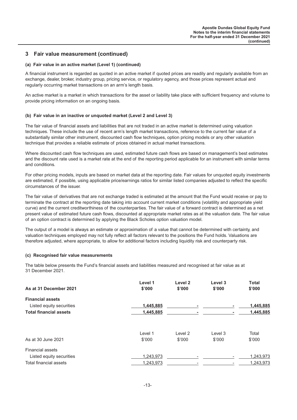## **3 Fair value measurement (continued)**

#### **(a) Fair value in an active market (Level 1) (continued)**

A financial instrument is regarded as quoted in an active market if quoted prices are readily and regularly available from an exchange, dealer, broker, industry group, pricing service, or regulatory agency, and those prices represent actual and regularly occurring market transactions on an arm's length basis.

An active market is a market in which transactions for the asset or liability take place with sufficient frequency and volume to provide pricing information on an ongoing basis.

#### **(b) Fair value in an inactive or unquoted market (Level 2 and Level 3)**

The fair value of financial assets and liabilities that are not traded in an active market is determined using valuation techniques. These include the use of recent arm's length market transactions, reference to the current fair value of a substantially similar other instrument, discounted cash flow techniques, option pricing models or any other valuation technique that provides a reliable estimate of prices obtained in actual market transactions.

Where discounted cash flow techniques are used, estimated future cash flows are based on management's best estimates and the discount rate used is a market rate at the end of the reporting period applicable for an instrument with similar terms and conditions.

For other pricing models, inputs are based on market data at the reporting date. Fair values for unquoted equity investments are estimated, if possible, using applicable price/earnings ratios for similar listed companies adjusted to reflect the specific circumstances of the issuer.

The fair value of derivatives that are not exchange traded is estimated at the amount that the Fund would receive or pay to terminate the contract at the reporting date taking into account current market conditions (volatility and appropriate yield curve) and the current creditworthiness of the counterparties. The fair value of a forward contract is determined as a net present value of estimated future cash flows, discounted at appropriate market rates as at the valuation date. The fair value of an option contract is determined by applying the Black Scholes option valuation model.

The output of a model is always an estimate or approximation of a value that cannot be determined with certainty, and valuation techniques employed may not fully reflect all factors relevant to the positions the Fund holds. Valuations are therefore adjusted, where appropriate, to allow for additional factors including liquidity risk and counterparty risk.

#### **(c) Recognised fair value measurements**

The table below presents the Fund's financial assets and liabilities measured and recognised at fair value as at 31 December 2021.

| As at 31 December 2021        | Level 1<br>\$'000 | Level 2<br>\$'000 | Level 3<br>\$'000 | <b>Total</b><br>\$'000 |
|-------------------------------|-------------------|-------------------|-------------------|------------------------|
| <b>Financial assets</b>       |                   |                   |                   |                        |
| Listed equity securities      | 1,445,885         |                   |                   | 1,445,885              |
| <b>Total financial assets</b> | 1,445,885         |                   |                   | 1,445,885              |
|                               | Level 1           | Level 2           | Level 3           | Total                  |
| As at 30 June 2021            | \$'000            | \$'000            | \$'000            | \$'000                 |
| Financial assets              |                   |                   |                   |                        |
| Listed equity securities      | 1.243.973         |                   |                   | 1,243,973              |
| Total financial assets        | 1,243,973         |                   |                   | 1,243,973              |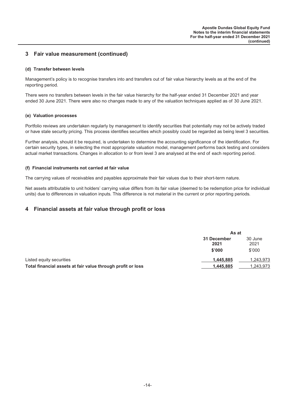## **3 Fair value measurement (continued)**

#### **(d) Transfer between levels**

Management's policy is to recognise transfers into and transfers out of fair value hierarchy levels as at the end of the reporting period.

There were no transfers between levels in the fair value hierarchy for the half-year ended 31 December 2021 and year ended 30 June 2021. There were also no changes made to any of the valuation techniques applied as of 30 June 2021.

#### **(e) Valuation processes**

Portfolio reviews are undertaken regularly by management to identify securities that potentially may not be actively traded or have stale security pricing. This process identifies securities which possibly could be regarded as being level 3 securities.

Further analysis, should it be required, is undertaken to determine the accounting significance of the identification. For certain security types, in selecting the most appropriate valuation model, management performs back testing and considers actual market transactions. Changes in allocation to or from level 3 are analysed at the end of each reporting period.

#### **(f) Financial instruments not carried at fair value**

The carrying values of receivables and payables approximate their fair values due to their short-term nature.

Net assets attributable to unit holders' carrying value differs from its fair value (deemed to be redemption price for individual units) due to differences in valuation inputs. This difference is not material in the current or prior reporting periods.

## **4 Financial assets at fair value through profit or loss**

|                                                             | As at                         |                           |  |
|-------------------------------------------------------------|-------------------------------|---------------------------|--|
|                                                             | 31 December<br>2021<br>\$'000 | 30 June<br>2021<br>\$'000 |  |
| Listed equity securities                                    | 1,445,885                     | 1,243,973                 |  |
| Total financial assets at fair value through profit or loss | 1.445.885                     | 1,243,973                 |  |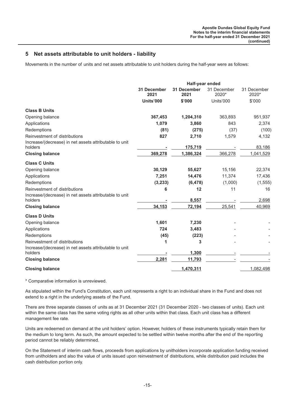## **5 Net assets attributable to unit holders - liability**

Movements in the number of units and net assets attributable to unit holders during the half-year were as follows:

|                                                                                         | <b>Half-year ended</b> |                            |                      |                      |
|-----------------------------------------------------------------------------------------|------------------------|----------------------------|----------------------|----------------------|
|                                                                                         | 31 December<br>2021    | <b>31 December</b><br>2021 | 31 December<br>2020* | 31 December<br>2020* |
|                                                                                         | Units'000              | \$'000                     | Units'000            | \$'000               |
| <b>Class B Units</b>                                                                    |                        |                            |                      |                      |
| Opening balance                                                                         | 367,453                | 1,204,310                  | 363,893              | 951,937              |
| Applications                                                                            | 1,079                  | 3,860                      | 843                  | 2,374                |
| Redemptions                                                                             | (81)                   | (275)                      | (37)                 | (100)                |
| Reinvestment of distributions<br>Increase/(decrease) in net assets attributable to unit | 827                    | 2,710                      | 1,579                | 4,132                |
| holders                                                                                 |                        | 175,719                    |                      | 83,186               |
| <b>Closing balance</b>                                                                  | 369,278                | 1,386,324                  | 366,278              | 1,041,529            |
| <b>Class C Units</b>                                                                    |                        |                            |                      |                      |
| Opening balance                                                                         | 30,129                 | 55,627                     | 15,156               | 22,374               |
| Applications                                                                            | 7,251                  | 14,476                     | 11,374               | 17,436               |
| Redemptions                                                                             | (3,233)                | (6, 478)                   | (1,000)              | (1, 555)             |
| Reinvestment of distributions                                                           | 6                      | 12                         | 11                   | 16                   |
| Increase/(decrease) in net assets attributable to unit<br>holders                       |                        | 8,557                      |                      | 2,698                |
| <b>Closing balance</b>                                                                  | 34,153                 | 72,194                     | 25,541               | 40,969               |
| <b>Class D Units</b>                                                                    |                        |                            |                      |                      |
| Opening balance                                                                         | 1,601                  | 7,230                      |                      |                      |
| Applications                                                                            | 724                    | 3,483                      |                      |                      |
| Redemptions                                                                             | (45)                   | (223)                      |                      |                      |
| Reinvestment of distributions                                                           | 1                      | 3                          |                      |                      |
| Increase/(decrease) in net assets attributable to unit<br>holders                       |                        |                            |                      |                      |
|                                                                                         |                        | 1,300                      |                      |                      |
| <b>Closing balance</b>                                                                  | 2,281                  | 11,793                     |                      |                      |
| <b>Closing balance</b>                                                                  |                        | 1,470,311                  |                      | 1,082,498            |

\* Comparative information is unreviewed.

As stipulated within the Fund's Constitution, each unit represents a right to an individual share in the Fund and does not extend to a right in the underlying assets of the Fund.

There are three separate classes of units as at 31 December 2021 (31 December 2020 - two classes of units). Each unit within the same class has the same voting rights as all other units within that class. Each unit class has a different management fee rate.

Units are redeemed on demand at the unit holders' option. However, holders of these instruments typically retain them for the medium to long term. As such, the amount expected to be settled within twelve months after the end of the reporting period cannot be reliably determined.

On the Statement of interim cash flows, proceeds from applications by unitholders incorporate application funding received from unitholders and also the value of units issued upon reinvestment of distributions, while distribution paid includes the cash distribution portion only.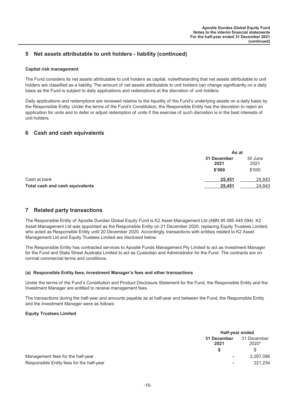## **5 Net assets attributable to unit holders - liability (continued)**

#### **Capital risk management**

The Fund considers its net assets attributable to unit holders as capital, notwithstanding that net assets attributable to unit holders are classified as a liability. The amount of net assets attributable to unit holders can change significantly on a daily basis as the Fund is subject to daily applications and redemptions at the discretion of unit holders.

Daily applications and redemptions are reviewed relative to the liquidity of the Fund's underlying assets on a daily basis by the Responsible Entity. Under the terms of the Fund's Constitution, the Responsible Entity has the discretion to reject an application for units and to defer or adjust redemption of units if the exercise of such discretion is in the best interests of unit holders.

## **6 Cash and cash equivalents**

|                                 |                               | As at                     |  |
|---------------------------------|-------------------------------|---------------------------|--|
|                                 | 31 December<br>2021<br>\$'000 | 30 June<br>2021<br>\$'000 |  |
| Cash at bank                    | 25,451                        | 24,843                    |  |
| Total cash and cash equivalents | 25,451                        | 24,843                    |  |

## **7 Related party transactions**

The Responsible Entity of Apostle Dundas Global Equity Fund is K2 Asset Management Ltd (ABN 95 085 445 094). K2 Asset Management Ltd was appointed as the Responsible Entity on 21 December 2020, replacing Equity Trustees Limited, who acted as Responsible Entity until 20 December 2020. Accordingly, transactions with entities related to K2 Asset Management Ltd and Equity Trustees Limited are disclosed below.

The Responsible Entity has contracted services to Apostle Funds Management Pty Limited to act as Investment Manager for the Fund and State Street Australia Limited to act as Custodian and Administrator for the Fund. The contracts are on normal commercial terms and conditions.

#### **(a) Responsible Entity fees, Investment Manager's fees and other transactions**

Under the terms of the Fund's Constitution and Product Disclosure Statement for the Fund, the Responsible Entity and the Investment Manager are entitled to receive management fees.

The transactions during the half-year and amounts payable as at half-year end between the Fund, the Responsible Entity and the Investment Manager were as follows:

#### **Equity Trustees Limited**

|                                           | Half-year ended     |                      |
|-------------------------------------------|---------------------|----------------------|
|                                           | 31 December<br>2021 | 31 December<br>2020* |
|                                           |                     |                      |
| Management fees for the half-year         | ٠                   | 2,267,096            |
| Responsible Entity fees for the half-year | ۰                   | 221.234              |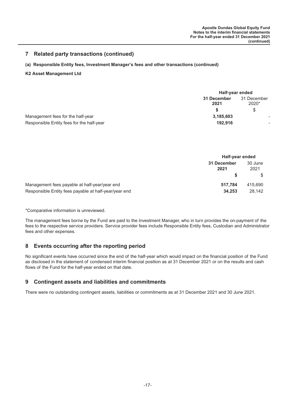## **7 Related party transactions (continued)**

#### **(a) Responsible Entity fees, Investment Manager's fees and other transactions (continued)**

#### **K2 Asset Management Ltd**

|                                           | Half-year ended     |                      |
|-------------------------------------------|---------------------|----------------------|
|                                           | 31 December<br>2021 | 31 December<br>2020* |
|                                           |                     | \$                   |
| Management fees for the half-year         | 3,185,603           |                      |
| Responsible Entity fees for the half-year | 192.916             |                      |

|                                                       | Half-year ended     |                 |
|-------------------------------------------------------|---------------------|-----------------|
|                                                       | 31 December<br>2021 | 30 June<br>2021 |
|                                                       |                     |                 |
| Management fees payable at half-year/year end         | 517.784             | 415.690         |
| Responsible Entity fees payable at half-year/year end | 34,253              | 28.142          |

\*Comparative information is unreviewed.

The management fees borne by the Fund are paid to the Investment Manager, who in turn provides the on-payment of the fees to the respective service providers. Service provider fees include Responsible Entity fees, Custodian and Administrator fees and other expenses.

## **8 Events occurring after the reporting period**

No significant events have occurred since the end of the half-year which would impact on the financial position of the Fund as disclosed in the statement of condensed interim financial position as at 31 December 2021 or on the results and cash flows of the Fund for the half-year ended on that date.

## **9 Contingent assets and liabilities and commitments**

There were no outstanding contingent assets, liabilities or commitments as at 31 December 2021 and 30 June 2021.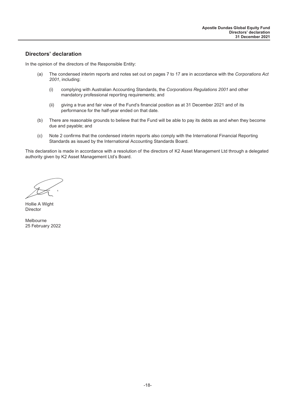## **Directors' declaration**

In the opinion of the directors of the Responsible Entity:

- (a) The condensed interim reports and notes set out on pages 7 to 17 are in accordance with the *Corporations Act 2001*, including:
	- (i) complying with Australian Accounting Standards, the *Corporations Regulations 2001* and other mandatory professional reporting requirements; and
	- (ii) giving a true and fair view of the Fund's financial position as at 31 December 2021 and of its performance for the half-year ended on that date.
- (b) There are reasonable grounds to believe that the Fund will be able to pay its debts as and when they become due and payable; and
- (c) Note 2 confirms that the condensed interim reports also comply with the International Financial Reporting Standards as issued by the International Accounting Standards Board.

This declaration is made in accordance with a resolution of the directors of K2 Asset Management Ltd through a delegated authority given by K2 Asset Management Ltd's Board.

Hollie A Wight Director

Melbourne 25 February 2022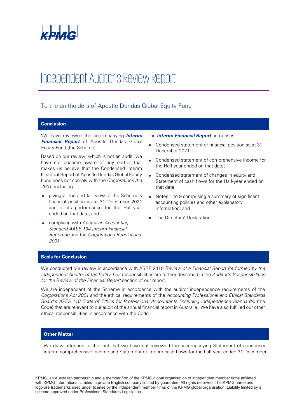

## Independent Auditor's Review Report

## To the unitholders of Apostle Dundas Global Equity Fund

#### **Conclusion**

We have reviewed the accompanying **Interim Financial Report** of Apostle Dundas Global Equity Fund (the Scheme).

Based on our review, which is not an audit, we have not become aware of any matter that makes us believe that the Condensed Interim Financial Report of Apostle Dundas Global Equity Fund does not comply with the Corporations Act 2001, including:

- giving a true and fair view of the Scheme's financial position as at 31 December 2021 and of its performance for the Half-year ended on that date; and
- complying with Australian Accounting Standard AASB 134 Interim Financial Reporting and the Corporations Regulations 2001.

The **Interim Financial Report** comprises:

- Condensed statement of financial position as at 31 December 2021;
- Condensed statement of comprehensive income for the Half-year ended on that date;
- Condensed statement of changes in equity and Statement of cash flows for the Half-year ended on that date;
- Notes 1 to 9 comprising a summary of significant accounting policies and other explanatory information; and
- The Directors' Declaration.

#### **Basis for Conclusion**

We conducted our review in accordance with ASRE 2410 Review of a Financial Report Performed by the Independent Auditor of the Entity. Our responsibilities are further described in the Auditor's Responsibilities for the Review of the Financial Report section of our report.

We are independent of the Scheme in accordance with the auditor independence requirements of the Corporations Act 2001 and the ethical requirements of the Accounting Professional and Ethical Standards Board's APES 110 Code of Ethics for Professional Accountants (including Independence Standards) (the Code) that are relevant to our audit of the annual financial report in Australia. We have also fulfilled our other ethical responsibilities in accordance with the Code.

#### **Other Matter**

We draw attention to the fact that we have not reviewed the accompanying Statement of condensed interim comprehensive income and Statement of interim cash flows for the half-year ended 31 December

KPMG, an Australian partnership and a member firm of the KPMG global organisation of independent member firms affiliated with KPMG International Limited, a private English company limited by guarantee. All rights reserved. The KPMG name and logo are trademarks used under license by the independent member firms of the KPMG global organisation. Liability limited by a scheme approved under Professional Standards Legislation.